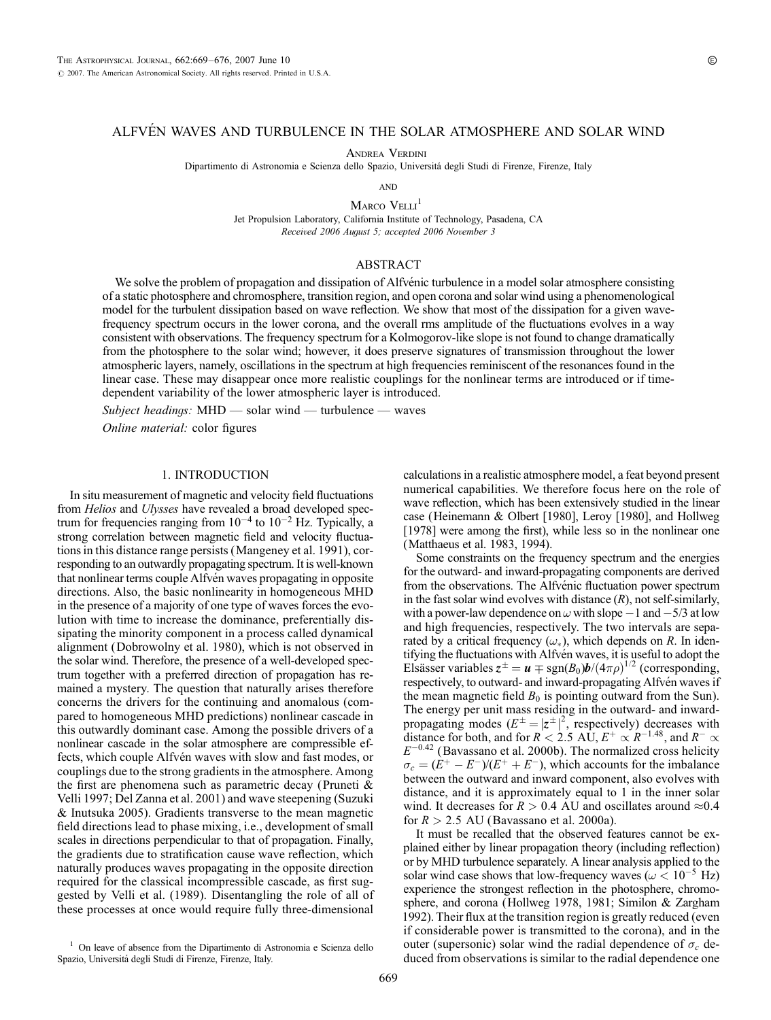# ALFVÉN WAVES AND TURBULENCE IN THE SOLAR ATMOSPHERE AND SOLAR WIND

Andrea Verdini

Dipartimento di Astronomia e Scienza dello Spazio, Universita´ degli Studi di Firenze, Firenze, Italy

**AND** 

MARCO VELLI<sup>1</sup> Jet Propulsion Laboratory, California Institute of Technology, Pasadena, CA Received 2006 August 5; accepted 2006 November 3

## ABSTRACT

We solve the problem of propagation and dissipation of Alfvénic turbulence in a model solar atmosphere consisting of a static photosphere and chromosphere, transition region, and open corona and solar wind using a phenomenological model for the turbulent dissipation based on wave reflection. We show that most of the dissipation for a given wavefrequency spectrum occurs in the lower corona, and the overall rms amplitude of the fluctuations evolves in a way consistent with observations. The frequency spectrum for a Kolmogorov-like slope is not found to change dramatically from the photosphere to the solar wind; however, it does preserve signatures of transmission throughout the lower atmospheric layers, namely, oscillations in the spectrum at high frequencies reminiscent of the resonances found in the linear case. These may disappear once more realistic couplings for the nonlinear terms are introduced or if timedependent variability of the lower atmospheric layer is introduced.

Subject headings:  $MHD$  — solar wind — turbulence — waves

Online material: color figures

## 1. INTRODUCTION

In situ measurement of magnetic and velocity field fluctuations from Helios and Ulysses have revealed a broad developed spectrum for frequencies ranging from  $10^{-4}$  to  $10^{-2}$  Hz. Typically, a strong correlation between magnetic field and velocity fluctuations in this distance range persists (Mangeney et al. 1991), corresponding to an outwardly propagating spectrum. It is well-known that nonlinear terms couple Alfvén waves propagating in opposite directions. Also, the basic nonlinearity in homogeneous MHD in the presence of a majority of one type of waves forces the evolution with time to increase the dominance, preferentially dissipating the minority component in a process called dynamical alignment (Dobrowolny et al. 1980), which is not observed in the solar wind. Therefore, the presence of a well-developed spectrum together with a preferred direction of propagation has remained a mystery. The question that naturally arises therefore concerns the drivers for the continuing and anomalous (compared to homogeneous MHD predictions) nonlinear cascade in this outwardly dominant case. Among the possible drivers of a nonlinear cascade in the solar atmosphere are compressible effects, which couple Alfvén waves with slow and fast modes, or couplings due to the strong gradients in the atmosphere. Among the first are phenomena such as parametric decay (Pruneti  $\&$ Velli 1997; Del Zanna et al. 2001) and wave steepening (Suzuki & Inutsuka 2005). Gradients transverse to the mean magnetic field directions lead to phase mixing, i.e., development of small scales in directions perpendicular to that of propagation. Finally, the gradients due to stratification cause wave reflection, which naturally produces waves propagating in the opposite direction required for the classical incompressible cascade, as first suggested by Velli et al. (1989). Disentangling the role of all of these processes at once would require fully three-dimensional

calculations in a realistic atmosphere model, a feat beyond present numerical capabilities. We therefore focus here on the role of wave reflection, which has been extensively studied in the linear case (Heinemann & Olbert [1980], Leroy [1980], and Hollweg [1978] were among the first), while less so in the nonlinear one (Matthaeus et al. 1983, 1994).

Some constraints on the frequency spectrum and the energies for the outward- and inward-propagating components are derived from the observations. The Alfvénic fluctuation power spectrum in the fast solar wind evolves with distance  $(R)$ , not self-similarly, with a power-law dependence on  $\omega$  with slope  $-1$  and  $-5/3$  at low and high frequencies, respectively. The two intervals are separated by a critical frequency  $(\omega_*)$ , which depends on R. In identifying the fluctuations with Alfvén waves, it is useful to adopt the Elsässer variables  $z^{\pm} = u \mp \text{sgn}(B_0) b / (4 \pi \rho)^{1/2}$  (corresponding, respectively, to outward- and inward-propagating Alfvén waves if the mean magnetic field  $B_0$  is pointing outward from the Sun). The energy per unit mass residing in the outward- and inwardpropagating modes  $(E^{\pm} = |z^{\pm}|^2)$ , respectively) decreases with distance for both, and for  $R < 2.5$  AU,  $E^+ \propto R^{-1.48}$ , and  $R^- \propto$  $E^{-0.42}$  (Bavassano et al. 2000b). The normalized cross helicity  $\sigma_c = (E^+ - E^-)/(E^+ + E^-)$ , which accounts for the imbalance between the outward and inward component, also evolves with distance, and it is approximately equal to 1 in the inner solar wind. It decreases for  $R > 0.4$  AU and oscillates around  $\approx 0.4$ for  $R > 2.5$  AU (Bavassano et al. 2000a).

It must be recalled that the observed features cannot be explained either by linear propagation theory (including reflection) or by MHD turbulence separately. A linear analysis applied to the solar wind case shows that low-frequency waves ( $\omega$  < 10<sup>-5</sup> Hz) experience the strongest reflection in the photosphere, chromosphere, and corona (Hollweg 1978, 1981; Similon & Zargham 1992). Their flux at the transition region is greatly reduced (even if considerable power is transmitted to the corona), and in the outer (supersonic) solar wind the radial dependence of  $\sigma_c$  deduced from observations is similar to the radial dependence one

<sup>&</sup>lt;sup>1</sup> On leave of absence from the Dipartimento di Astronomia e Scienza dello Spazio, Universita´ degli Studi di Firenze, Firenze, Italy.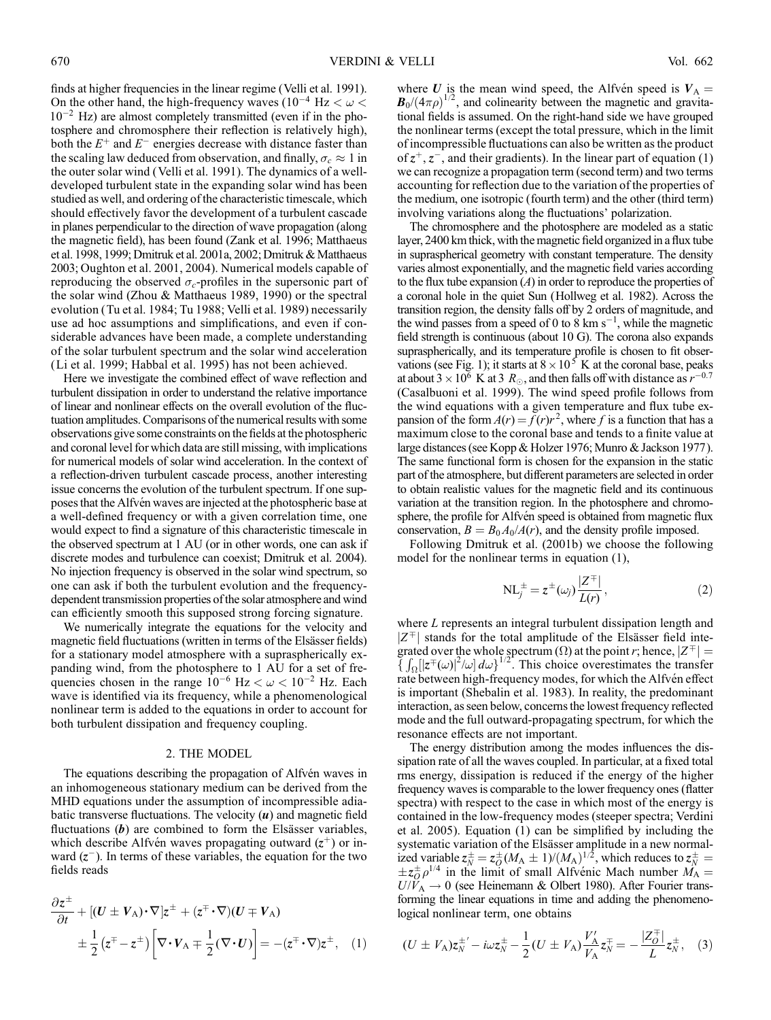finds at higher frequencies in the linear regime (Velli et al. 1991). On the other hand, the high-frequency waves ( $10^{-4}$  Hz  $< \omega$ )  $10^{-2}$  Hz) are almost completely transmitted (even if in the photosphere and chromosphere their reflection is relatively high), both the  $E^+$  and  $E^-$  energies decrease with distance faster than the scaling law deduced from observation, and finally,  $\sigma_c \approx 1$  in the outer solar wind (Velli et al. 1991). The dynamics of a welldeveloped turbulent state in the expanding solar wind has been studied as well, and ordering of the characteristic timescale, which should effectively favor the development of a turbulent cascade in planes perpendicular to the direction of wave propagation (along the magnetic field), has been found (Zank et al. 1996; Matthaeus et al. 1998, 1999; Dmitruk et al. 2001a, 2002; Dmitruk & Matthaeus 2003; Oughton et al. 2001, 2004). Numerical models capable of reproducing the observed  $\sigma_c$ -profiles in the supersonic part of the solar wind (Zhou & Matthaeus 1989, 1990) or the spectral evolution (Tu et al. 1984; Tu 1988; Velli et al. 1989) necessarily use ad hoc assumptions and simplifications, and even if considerable advances have been made, a complete understanding of the solar turbulent spectrum and the solar wind acceleration (Li et al. 1999; Habbal et al. 1995) has not been achieved.

Here we investigate the combined effect of wave reflection and turbulent dissipation in order to understand the relative importance of linear and nonlinear effects on the overall evolution of the fluctuation amplitudes. Comparisons of the numerical results with some observations give some constraints on the fields at the photospheric and coronal level for which data are still missing, with implications for numerical models of solar wind acceleration. In the context of a reflection-driven turbulent cascade process, another interesting issue concerns the evolution of the turbulent spectrum. If one supposes that the Alfvén waves are injected at the photospheric base at a well-defined frequency or with a given correlation time, one would expect to find a signature of this characteristic timescale in the observed spectrum at 1 AU (or in other words, one can ask if discrete modes and turbulence can coexist; Dmitruk et al. 2004). No injection frequency is observed in the solar wind spectrum, so one can ask if both the turbulent evolution and the frequencydependent transmission properties of the solar atmosphere and wind can efficiently smooth this supposed strong forcing signature.

We numerically integrate the equations for the velocity and magnetic field fluctuations (written in terms of the Elsässer fields) for a stationary model atmosphere with a supraspherically expanding wind, from the photosphere to 1 AU for a set of frequencies chosen in the range  $10^{-6}$  Hz  $< \omega < 10^{-2}$  Hz. Each wave is identified via its frequency, while a phenomenological nonlinear term is added to the equations in order to account for both turbulent dissipation and frequency coupling.

#### 2. THE MODEL

The equations describing the propagation of Alfven waves in an inhomogeneous stationary medium can be derived from the MHD equations under the assumption of incompressible adiabatic transverse fluctuations. The velocity  $(u)$  and magnetic field fluctuations  $(b)$  are combined to form the Elsässer variables, which describe Alfvén waves propagating outward  $(z^+)$  or inward  $(z^-)$ . In terms of these variables, the equation for the two fields reads

$$
\frac{\partial z^{\pm}}{\partial t} + [(U \pm V_A) \cdot \nabla] z^{\pm} + (z^{\mp} \cdot \nabla)(U \mp V_A) \n\pm \frac{1}{2} (z^{\mp} - z^{\pm}) \left[ \nabla \cdot V_A \mp \frac{1}{2} (\nabla \cdot U) \right] = -(z^{\mp} \cdot \nabla) z^{\pm}, \quad (1)
$$

where U is the mean wind speed, the Alfvén speed is  $V_A$  =  $\mathbf{B}_0/(4\pi\rho)^{1/2}$ , and colinearity between the magnetic and gravitational fields is assumed. On the right-hand side we have grouped the nonlinear terms (except the total pressure, which in the limit of incompressible fluctuations can also be written as the product of  $z^+, z^-$ , and their gradients). In the linear part of equation (1) we can recognize a propagation term (second term) and two terms accounting for reflection due to the variation of the properties of the medium, one isotropic (fourth term) and the other (third term) involving variations along the fluctuations' polarization.

The chromosphere and the photosphere are modeled as a static layer, 2400 km thick, with the magnetic field organized in a flux tube in supraspherical geometry with constant temperature. The density varies almost exponentially, and the magnetic field varies according to the flux tube expansion  $(A)$  in order to reproduce the properties of a coronal hole in the quiet Sun (Hollweg et al. 1982). Across the transition region, the density falls off by 2 orders of magnitude, and the wind passes from a speed of 0 to 8 km  $s^{-1}$ , while the magnetic field strength is continuous (about 10 G). The corona also expands supraspherically, and its temperature profile is chosen to fit observations (see Fig. 1); it starts at  $8 \times 10^5$  K at the coronal base, peaks at about 3  $\times$  10<sup>6</sup> K at 3  $R_{\odot}$ , and then falls off with distance as  $r^{-0.7}$ (Casalbuoni et al. 1999). The wind speed profile follows from the wind equations with a given temperature and flux tube expansion of the form  $A(r) = \overline{f}(r)r^2$ , where f is a function that has a maximum close to the coronal base and tends to a finite value at large distances (see Kopp & Holzer 1976; Munro & Jackson 1977). The same functional form is chosen for the expansion in the static part of the atmosphere, but different parameters are selected in order to obtain realistic values for the magnetic field and its continuous variation at the transition region. In the photosphere and chromosphere, the profile for Alfvén speed is obtained from magnetic flux conservation,  $B = B_0A_0/A(r)$ , and the density profile imposed.

Following Dmitruk et al. (2001b) we choose the following model for the nonlinear terms in equation (1),

$$
NL_{j}^{\pm} = z^{\pm}(\omega_{j}) \frac{|Z^{\mp}|}{L(r)},
$$
\n(2)

where L represents an integral turbulent dissipation length and  $|Z^{\pm}|$  stands for the total amplitude of the Elsässer field integrated over the whole spectrum  $(\Omega)$  at the point r; hence,  $|Z^{\pm}| =$  $\{\int_{\Omega} |z^{\pm}(\omega)|^2/\omega \} d\omega\}^{1/2}$ . This choice overestimates the transfer rate between high-frequency modes, for which the Alfvén effect is important (Shebalin et al. 1983). In reality, the predominant interaction, as seen below, concerns the lowest frequency reflected mode and the full outward-propagating spectrum, for which the resonance effects are not important.

The energy distribution among the modes influences the dissipation rate of all the waves coupled. In particular, at a fixed total rms energy, dissipation is reduced if the energy of the higher frequency waves is comparable to the lower frequency ones (flatter spectra) with respect to the case in which most of the energy is contained in the low-frequency modes (steeper spectra; Verdini et al. 2005). Equation (1) can be simplified by including the systematic variation of the Elsässer amplitude in a new normalized variable  $z_N^{\pm} = z_O^{\pm} (M_A \pm 1)/(M_A)^{1/2}$ , which reduces to  $z_N^{\pm} = z_O^{\pm}$  $\pm z_0^{\pm} \rho^{1/4}$  in the limit of small Alfvenic Mach number  $\dot{M}_{\rm A}$  =  $U/V_A \rightarrow 0$  (see Heinemann & Olbert 1980). After Fourier transforming the linear equations in time and adding the phenomenological nonlinear term, one obtains

$$
(U \pm V_{A}) z_{N}^{\pm'} - i \omega z_{N}^{\pm} - \frac{1}{2} (U \pm V_{A}) \frac{V_{A}'}{V_{A}} z_{N}^{\mp} = -\frac{|Z_{O}^{\mp}|}{L} z_{N}^{\pm}, \quad (3)
$$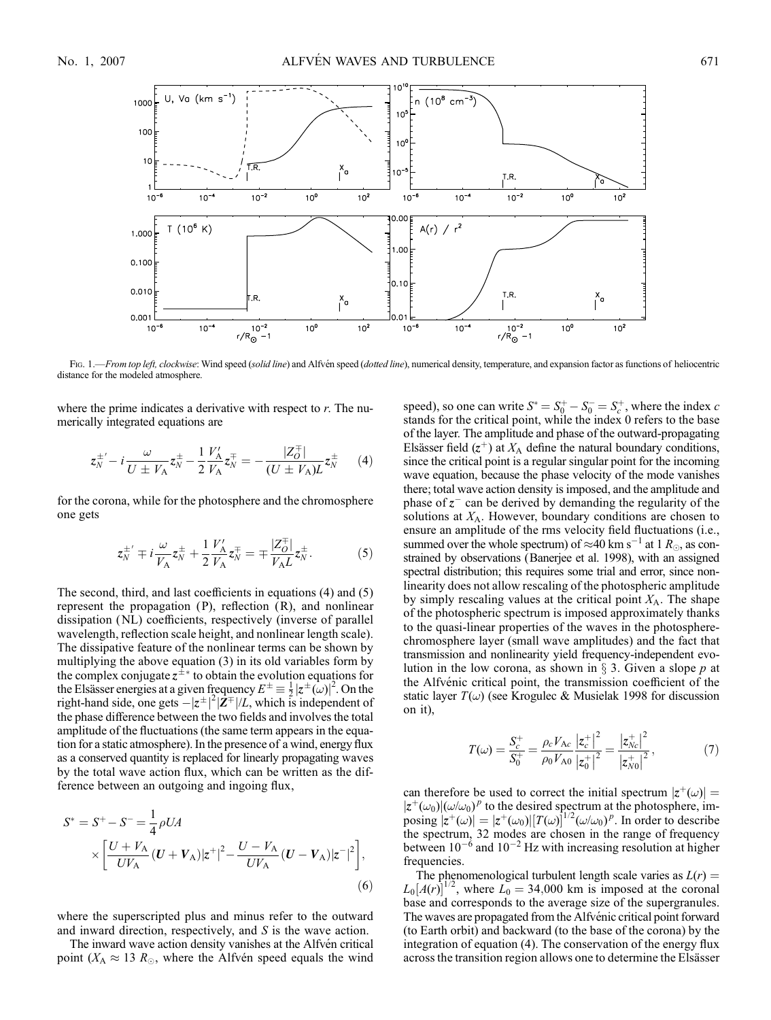

Fig. 1.—From top left, clockwise: Wind speed (solid line) and Alfvén speed (dotted line), numerical density, temperature, and expansion factor as functions of heliocentric distance for the modeled atmosphere.

where the prime indicates a derivative with respect to  $r$ . The numerically integrated equations are

$$
z_N^{\pm'} - i \frac{\omega}{U \pm V_A} z_N^{\pm} - \frac{1}{2} \frac{V_A'}{V_A} z_N^{\mp} = - \frac{|Z_O^{\mp}|}{(U \pm V_A)L} z_N^{\pm}
$$
 (4)

for the corona, while for the photosphere and the chromosphere one gets

$$
z_N^{\pm'} \mp i \frac{\omega}{V_A} z_N^{\pm} + \frac{1}{2} \frac{V_A'}{V_A} z_N^{\mp} = \mp \frac{|Z_O^{\mp}|}{V_A L} z_N^{\pm}.
$$
 (5)

The second, third, and last coefficients in equations (4) and (5) represent the propagation (P), reflection (R), and nonlinear dissipation (NL) coefficients, respectively (inverse of parallel wavelength, reflection scale height, and nonlinear length scale). The dissipative feature of the nonlinear terms can be shown by multiplying the above equation (3) in its old variables form by the complex conjugate  $z^{\pm *}$  to obtain the evolution equations for the Elsässer energies at a given frequency  $E^{\pm} \equiv \frac{1}{2} |z^{\pm}(\omega)|^2$ . On the right-hand side, one gets  $-|z^{\pm}|^2|\mathbf{Z}^{\pm}|/L$ , which is independent of the phase difference between the two fields and involves the total amplitude of the fluctuations (the same term appears in the equation for a static atmosphere). In the presence of a wind, energy flux as a conserved quantity is replaced for linearly propagating waves by the total wave action flux, which can be written as the difference between an outgoing and ingoing flux,

$$
S^* = S^+ - S^- = \frac{1}{4} \rho U A
$$
  
 
$$
\times \left[ \frac{U + V_A}{U V_A} (U + V_A) |z^+|^2 - \frac{U - V_A}{U V_A} (U - V_A) |z^-|^2 \right],
$$
  
(6)

where the superscripted plus and minus refer to the outward and inward direction, respectively, and S is the wave action.

The inward wave action density vanishes at the Alfvén critical point ( $X_A \approx 13 R_{\odot}$ , where the Alfvén speed equals the wind

speed), so one can write  $S^* = S_0^+ - S_0^- = S_c^+$ , where the index c stands for the critical point, while the index 0 refers to the base of the layer. The amplitude and phase of the outward-propagating Elsässer field  $(z^+)$  at  $X_A$  define the natural boundary conditions, since the critical point is a regular singular point for the incoming wave equation, because the phase velocity of the mode vanishes there; total wave action density is imposed, and the amplitude and phase of  $z^-$  can be derived by demanding the regularity of the solutions at  $X_A$ . However, boundary conditions are chosen to ensure an amplitude of the rms velocity field fluctuations (i.e., summed over the whole spectrum) of  $\approx$ 40 km s<sup>-1</sup> at 1  $R_{\odot}$ , as constrained by observations (Banerjee et al. 1998), with an assigned spectral distribution; this requires some trial and error, since nonlinearity does not allow rescaling of the photospheric amplitude by simply rescaling values at the critical point  $X_A$ . The shape of the photospheric spectrum is imposed approximately thanks to the quasi-linear properties of the waves in the photospherechromosphere layer (small wave amplitudes) and the fact that transmission and nonlinearity yield frequency-independent evolution in the low corona, as shown in  $\S$  3. Given a slope p at the Alfvénic critical point, the transmission coefficient of the static layer  $T(\omega)$  (see Krogulec & Musielak 1998 for discussion on it),

$$
T(\omega) = \frac{S_c^+}{S_0^+} = \frac{\rho_c V_{Ac}}{\rho_0 V_{A0}} \frac{|z_c^+|^2}{|z_0^+|^2} = \frac{|z_{Nc}^+|^2}{|z_{N0}^+|^2},\tag{7}
$$

can therefore be used to correct the initial spectrum  $|z^+(\omega)| =$  $|z^+(\omega_0)|(\omega/\omega_0)^p$  to the desired spectrum at the photosphere, imposing  $|\overline{z}^+(\omega)| = |z^+(\omega_0)| [T(\omega)]^{1/2} (\omega/\omega_0)^p$ . In order to describe the spectrum, 32 modes are chosen in the range of frequency between  $10^{-6}$  and  $10^{-2}$  Hz with increasing resolution at higher frequencies.

The phenomenological turbulent length scale varies as  $L(r)$  =  $L_0[A(r)]^{1/2}$ , where  $L_0 = 34{,}000$  km is imposed at the coronal base and corresponds to the average size of the supergranules. The waves are propagated from the Alfvénic critical point forward (to Earth orbit) and backward (to the base of the corona) by the integration of equation (4). The conservation of the energy flux across the transition region allows one to determine the Elsässer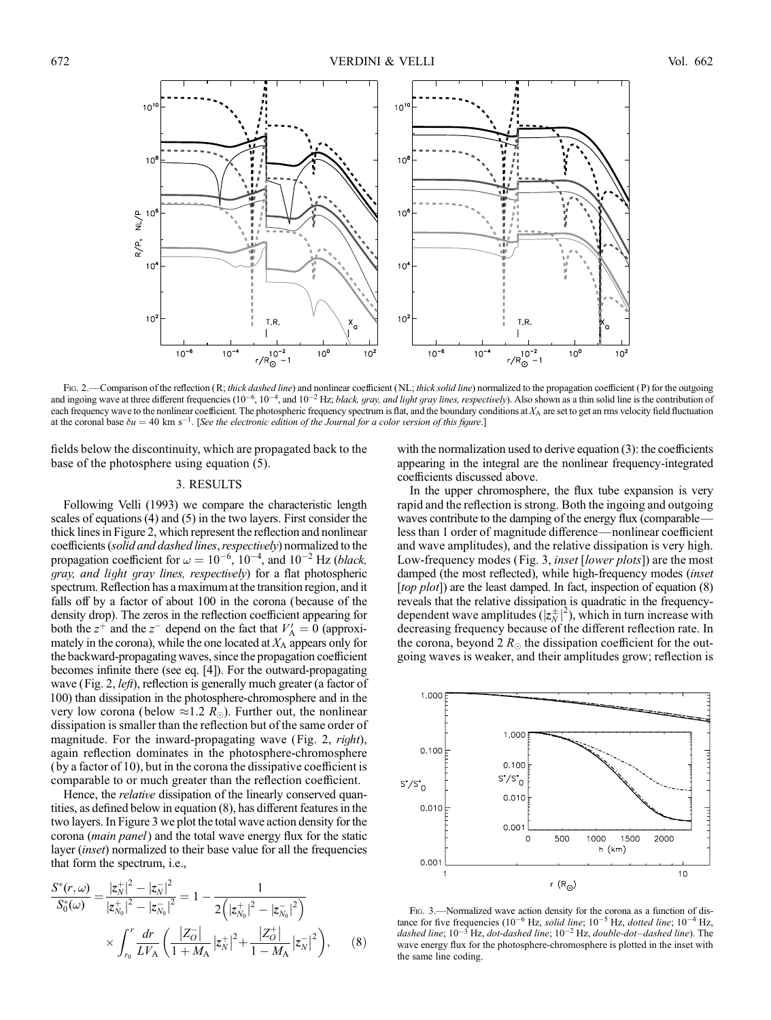

Fig. 2.—Comparison of the reflection (R; thick dashed line) and nonlinear coefficient (NL; thick solid line) normalized to the propagation coefficient (P) for the outgoing and ingoing wave at three different frequencies  $(10^{-6}, 10^{-4},$  and  $10^{-2}$  Hz; *black, gray, and light gray lines, respectively*). Also shown as a thin solid line is the contribution of each frequency wave to the nonlinear coefficient. The photospheric frequency spectrum is flat, and the boundary conditions at  $X_A$  are set to get an rms velocity field fluctuation at the coronal base  $\delta u = 40 \text{ km s}^{-1}$ . [See the electronic edition of the Journal for a color version of this figure.]

fields below the discontinuity, which are propagated back to the base of the photosphere using equation (5).

## 3. RESULTS

Following Velli (1993) we compare the characteristic length scales of equations (4) and (5) in the two layers. First consider the thick lines in Figure 2, which represent the reflection and nonlinear coefficients (solid and dashed lines, respectively) normalized to the propagation coefficient for  $\omega = 10^{-6}$ ,  $10^{-4}$ , and  $10^{-2}$  Hz (black, gray, and light gray lines, respectively) for a flat photospheric spectrum. Reflection has a maximum at the transition region, and it falls off by a factor of about 100 in the corona (because of the density drop). The zeros in the reflection coefficient appearing for both the  $z^+$  and the  $z^-$  depend on the fact that  $V'_A = 0$  (approximately in the corona), while the one located at  $X_A$  appears only for the backward-propagating waves, since the propagation coefficient becomes infinite there (see eq. [4]). For the outward-propagating wave (Fig. 2, *left*), reflection is generally much greater (a factor of 100) than dissipation in the photosphere-chromosphere and in the very low corona (below  $\approx 1.2$  R<sub>o</sub>). Further out, the nonlinear dissipation is smaller than the reflection but of the same order of magnitude. For the inward-propagating wave (Fig. 2, *right*), again reflection dominates in the photosphere-chromosphere (by a factor of 10), but in the corona the dissipative coefficient is comparable to or much greater than the reflection coefficient.

Hence, the *relative* dissipation of the linearly conserved quantities, as defined below in equation (8), has different features in the two layers. In Figure 3 we plot the total wave action density for the corona (main panel) and the total wave energy flux for the static layer (inset) normalized to their base value for all the frequencies that form the spectrum, i.e.,

$$
\frac{S^*(r,\omega)}{S_0^*(\omega)} = \frac{|z_N^+|^2 - |z_N^-|^2}{|z_{N_0}^+|^2 - |z_{N_0}^-|^2} = 1 - \frac{1}{2(|z_{N_0}^+|^2 - |z_{N_0}^-|^2)}
$$

$$
\times \int_{r_0}^r \frac{dr}{LV_A} \left(\frac{|Z_O^-|}{1+M_A} |z_N^+|^2 + \frac{|Z_O^+|}{1-M_A} |z_N^-|^2\right), \qquad (8)
$$

with the normalization used to derive equation (3): the coefficients appearing in the integral are the nonlinear frequency-integrated coefficients discussed above.

In the upper chromosphere, the flux tube expansion is very rapid and the reflection is strong. Both the ingoing and outgoing waves contribute to the damping of the energy flux (comparable less than 1 order of magnitude difference—nonlinear coefficient and wave amplitudes), and the relative dissipation is very high. Low-frequency modes (Fig. 3, *inset* [*lower plots*]) are the most damped (the most reflected), while high-frequency modes *(inset*) [top plot]) are the least damped. In fact, inspection of equation (8) reveals that the relative dissipation is quadratic in the frequencydependent wave amplitudes  $(|z_N^{\pm}|^2)$ , which in turn increase with decreasing frequency because of the different reflection rate. In the corona, beyond 2  $R_{\odot}$  the dissipation coefficient for the outgoing waves is weaker, and their amplitudes grow; reflection is



Fig. 3.—Normalized wave action density for the corona as a function of distance for five frequencies ( $10^{-6}$  Hz, solid line;  $10^{-5}$  Hz, dotted line;  $10^{-4}$  Hz, dashed line;  $10^{-3}$  Hz, dot-dashed line;  $10^{-2}$  Hz, double-dot-dashed line). The wave energy flux for the photosphere-chromosphere is plotted in the inset with the same line coding.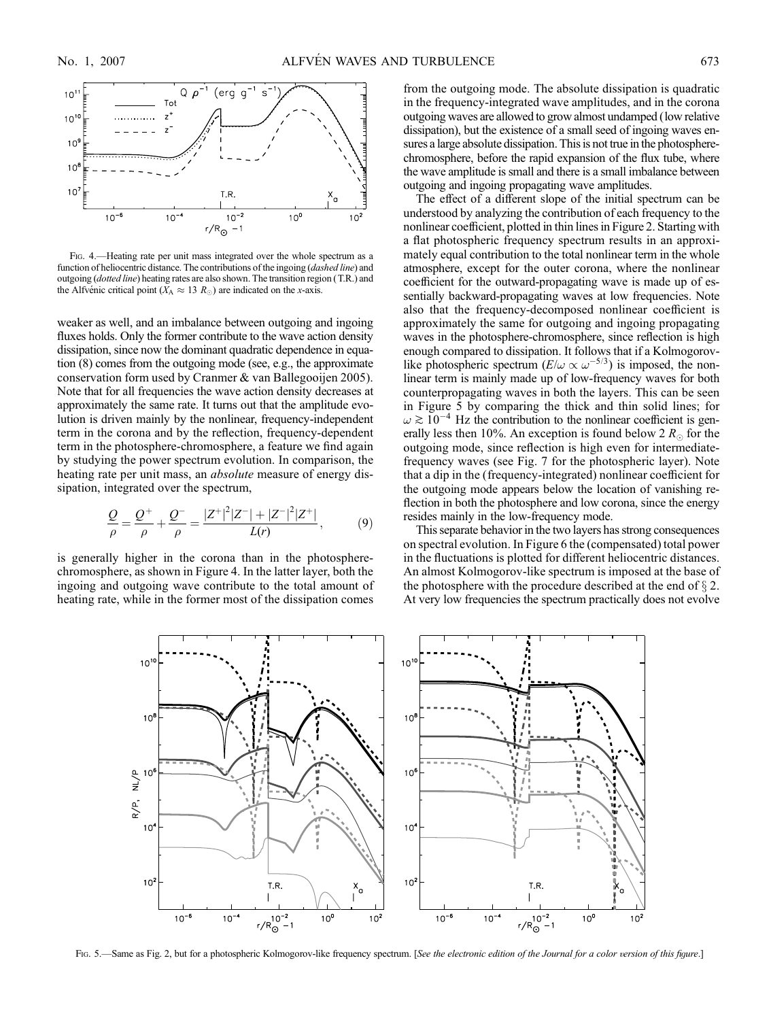

Fig. 4.—Heating rate per unit mass integrated over the whole spectrum as a function of heliocentric distance. The contributions of the ingoing (dashed line) and outgoing (dotted line) heating rates are also shown. The transition region (T.R.) and the Alfvénic critical point ( $X_A \approx 13 R_{\odot}$ ) are indicated on the x-axis.

weaker as well, and an imbalance between outgoing and ingoing fluxes holds. Only the former contribute to the wave action density dissipation, since now the dominant quadratic dependence in equation (8) comes from the outgoing mode (see, e.g., the approximate conservation form used by Cranmer & van Ballegooijen 2005). Note that for all frequencies the wave action density decreases at approximately the same rate. It turns out that the amplitude evolution is driven mainly by the nonlinear, frequency-independent term in the corona and by the reflection, frequency-dependent term in the photosphere-chromosphere, a feature we find again by studying the power spectrum evolution. In comparison, the heating rate per unit mass, an *absolute* measure of energy dissipation, integrated over the spectrum,

$$
\frac{Q}{\rho} = \frac{Q^+}{\rho} + \frac{Q^-}{\rho} = \frac{|Z^+|^2|Z^-| + |Z^-|^2|Z^+|}{L(r)},\tag{9}
$$

is generally higher in the corona than in the photospherechromosphere, as shown in Figure 4. In the latter layer, both the ingoing and outgoing wave contribute to the total amount of heating rate, while in the former most of the dissipation comes from the outgoing mode. The absolute dissipation is quadratic in the frequency-integrated wave amplitudes, and in the corona outgoing waves are allowed to grow almost undamped (low relative dissipation), but the existence of a small seed of ingoing waves ensures a large absolute dissipation. This is not true in the photospherechromosphere, before the rapid expansion of the flux tube, where the wave amplitude is small and there is a small imbalance between outgoing and ingoing propagating wave amplitudes.

The effect of a different slope of the initial spectrum can be understood by analyzing the contribution of each frequency to the nonlinear coefficient, plotted in thin lines in Figure 2. Starting with a flat photospheric frequency spectrum results in an approximately equal contribution to the total nonlinear term in the whole atmosphere, except for the outer corona, where the nonlinear coefficient for the outward-propagating wave is made up of essentially backward-propagating waves at low frequencies. Note also that the frequency-decomposed nonlinear coefficient is approximately the same for outgoing and ingoing propagating waves in the photosphere-chromosphere, since reflection is high enough compared to dissipation. It follows that if a Kolmogorovlike photospheric spectrum  $(E/\omega \propto \omega^{-5/3})$  is imposed, the nonlinear term is mainly made up of low-frequency waves for both counterpropagating waves in both the layers. This can be seen in Figure 5 by comparing the thick and thin solid lines; for  $\omega \gtrsim 10^{-4}$  Hz the contribution to the nonlinear coefficient is generally less then 10%. An exception is found below 2  $R_{\odot}$  for the outgoing mode, since reflection is high even for intermediatefrequency waves (see Fig. 7 for the photospheric layer). Note that a dip in the (frequency-integrated) nonlinear coefficient for the outgoing mode appears below the location of vanishing reflection in both the photosphere and low corona, since the energy resides mainly in the low-frequency mode.

This separate behavior in the two layers has strong consequences on spectral evolution. In Figure 6 the (compensated) total power in the fluctuations is plotted for different heliocentric distances. An almost Kolmogorov-like spectrum is imposed at the base of the photosphere with the procedure described at the end of  $\S 2$ . At very low frequencies the spectrum practically does not evolve



Fig. 5.—Same as Fig. 2, but for a photospheric Kolmogorov-like frequency spectrum. [See the electronic edition of the Journal for a color version of this figure.]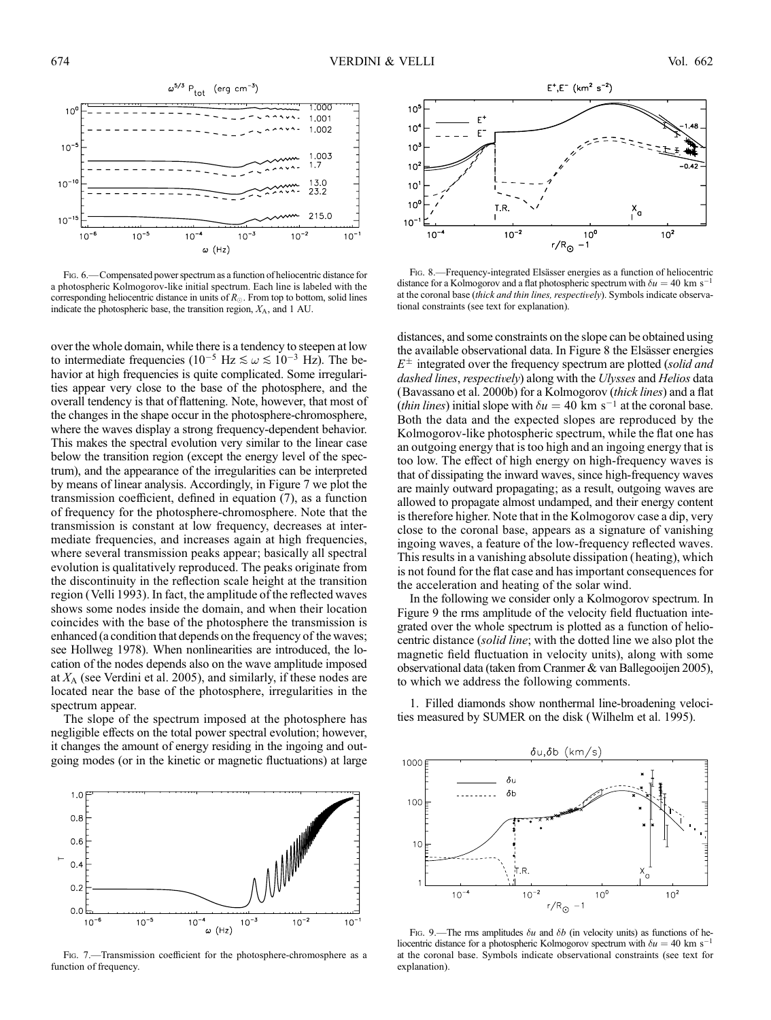

Fig. 6.—Compensated power spectrum as a function of heliocentric distance for a photospheric Kolmogorov-like initial spectrum. Each line is labeled with the corresponding heliocentric distance in units of  $R_{\odot}$ . From top to bottom, solid lines indicate the photospheric base, the transition region,  $X_A$ , and 1 AU.

over the whole domain, while there is a tendency to steepen at low to intermediate frequencies (10<sup>-5</sup> Hz  $\leq \omega \leq 10^{-3}$  Hz). The behavior at high frequencies is quite complicated. Some irregularities appear very close to the base of the photosphere, and the overall tendency is that of flattening. Note, however, that most of the changes in the shape occur in the photosphere-chromosphere, where the waves display a strong frequency-dependent behavior. This makes the spectral evolution very similar to the linear case below the transition region (except the energy level of the spectrum), and the appearance of the irregularities can be interpreted by means of linear analysis. Accordingly, in Figure 7 we plot the transmission coefficient, defined in equation (7), as a function of frequency for the photosphere-chromosphere. Note that the transmission is constant at low frequency, decreases at intermediate frequencies, and increases again at high frequencies, where several transmission peaks appear; basically all spectral evolution is qualitatively reproduced. The peaks originate from the discontinuity in the reflection scale height at the transition region (Velli 1993). In fact, the amplitude of the reflected waves shows some nodes inside the domain, and when their location coincides with the base of the photosphere the transmission is enhanced (a condition that depends on the frequency of the waves; see Hollweg 1978). When nonlinearities are introduced, the location of the nodes depends also on the wave amplitude imposed at  $X_A$  (see Verdini et al. 2005), and similarly, if these nodes are located near the base of the photosphere, irregularities in the spectrum appear.

The slope of the spectrum imposed at the photosphere has negligible effects on the total power spectral evolution; however, it changes the amount of energy residing in the ingoing and outgoing modes (or in the kinetic or magnetic fluctuations) at large



Fig. 7.—Transmission coefficient for the photosphere-chromosphere as a function of frequency.



Fig. 8.—Frequency-integrated Elsässer energies as a function of heliocentric distance for a Kolmogorov and a flat photospheric spectrum with  $\delta u = 40 \text{ km s}^{-1}$ at the coronal base (thick and thin lines, respectively). Symbols indicate observational constraints (see text for explanation).

distances, and some constraints on the slope can be obtained using the available observational data. In Figure 8 the Elsässer energies  $E^{\pm}$  integrated over the frequency spectrum are plotted (solid and dashed lines, respectively) along with the Ulysses and Helios data (Bavassano et al. 2000b) for a Kolmogorov (thick lines) and a flat *(thin lines)* initial slope with  $\delta u = 40 \text{ km s}^{-1}$  at the coronal base. Both the data and the expected slopes are reproduced by the Kolmogorov-like photospheric spectrum, while the flat one has an outgoing energy that is too high and an ingoing energy that is too low. The effect of high energy on high-frequency waves is that of dissipating the inward waves, since high-frequency waves are mainly outward propagating; as a result, outgoing waves are allowed to propagate almost undamped, and their energy content is therefore higher. Note that in the Kolmogorov case a dip, very close to the coronal base, appears as a signature of vanishing ingoing waves, a feature of the low-frequency reflected waves. This results in a vanishing absolute dissipation (heating), which is not found for the flat case and has important consequences for the acceleration and heating of the solar wind.

In the following we consider only a Kolmogorov spectrum. In Figure 9 the rms amplitude of the velocity field fluctuation integrated over the whole spectrum is plotted as a function of heliocentric distance (solid line; with the dotted line we also plot the magnetic field fluctuation in velocity units), along with some observational data (taken from Cranmer & van Ballegooijen 2005), to which we address the following comments.

1. Filled diamonds show nonthermal line-broadening velocities measured by SUMER on the disk (Wilhelm et al. 1995).



Fig. 9.—The rms amplitudes  $\delta u$  and  $\delta b$  (in velocity units) as functions of heliocentric distance for a photospheric Kolmogorov spectrum with  $\delta u = 40 \text{ km s}^{-1}$ at the coronal base. Symbols indicate observational constraints (see text for explanation).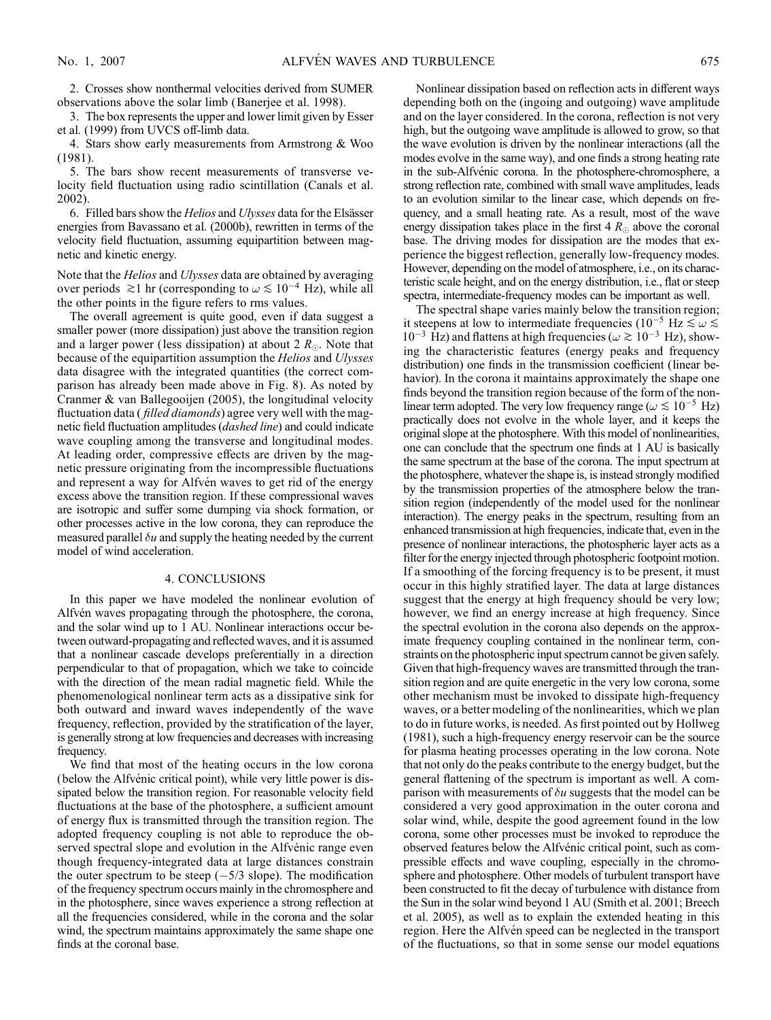2. Crosses show nonthermal velocities derived from SUMER observations above the solar limb (Banerjee et al. 1998).

3. The box represents the upper and lower limit given by Esser et al. (1999) from UVCS off-limb data.

4. Stars show early measurements from Armstrong & Woo (1981).

5. The bars show recent measurements of transverse velocity field fluctuation using radio scintillation (Canals et al. 2002).

6. Filled bars show the *Helios* and *Ulysses* data for the Elsässer energies from Bavassano et al. (2000b), rewritten in terms of the velocity field fluctuation, assuming equipartition between magnetic and kinetic energy.

Note that the Helios and Ulysses data are obtained by averaging over periods  $\gtrsim$ 1 hr (corresponding to  $\omega \lesssim 10^{-4}$  Hz), while all the other points in the figure refers to rms values.

The overall agreement is quite good, even if data suggest a smaller power (more dissipation) just above the transition region and a larger power (less dissipation) at about 2  $R_{\odot}$ . Note that because of the equipartition assumption the Helios and Ulysses data disagree with the integrated quantities (the correct comparison has already been made above in Fig. 8). As noted by Cranmer & van Ballegooijen (2005), the longitudinal velocity fluctuation data (*filled diamonds*) agree very well with the magnetic field fluctuation amplitudes (*dashed line*) and could indicate wave coupling among the transverse and longitudinal modes. At leading order, compressive effects are driven by the magnetic pressure originating from the incompressible fluctuations and represent a way for Alfven waves to get rid of the energy excess above the transition region. If these compressional waves are isotropic and suffer some dumping via shock formation, or other processes active in the low corona, they can reproduce the measured parallel  $\delta u$  and supply the heating needed by the current model of wind acceleration.

#### 4. CONCLUSIONS

In this paper we have modeled the nonlinear evolution of Alfvén waves propagating through the photosphere, the corona, and the solar wind up to 1 AU. Nonlinear interactions occur between outward-propagating and reflected waves, and it is assumed that a nonlinear cascade develops preferentially in a direction perpendicular to that of propagation, which we take to coincide with the direction of the mean radial magnetic field. While the phenomenological nonlinear term acts as a dissipative sink for both outward and inward waves independently of the wave frequency, reflection, provided by the stratification of the layer, is generally strong at low frequencies and decreases with increasing frequency.

We find that most of the heating occurs in the low corona (below the Alfvénic critical point), while very little power is dissipated below the transition region. For reasonable velocity field fluctuations at the base of the photosphere, a sufficient amount of energy flux is transmitted through the transition region. The adopted frequency coupling is not able to reproduce the observed spectral slope and evolution in the Alfvénic range even though frequency-integrated data at large distances constrain the outer spectrum to be steep  $(-5/3 \text{ slope})$ . The modification of the frequency spectrum occurs mainly in the chromosphere and in the photosphere, since waves experience a strong reflection at all the frequencies considered, while in the corona and the solar wind, the spectrum maintains approximately the same shape one finds at the coronal base.

Nonlinear dissipation based on reflection acts in different ways depending both on the (ingoing and outgoing) wave amplitude and on the layer considered. In the corona, reflection is not very high, but the outgoing wave amplitude is allowed to grow, so that the wave evolution is driven by the nonlinear interactions (all the modes evolve in the same way), and one finds a strong heating rate in the sub-Alfvénic corona. In the photosphere-chromosphere, a strong reflection rate, combined with small wave amplitudes, leads to an evolution similar to the linear case, which depends on frequency, and a small heating rate. As a result, most of the wave energy dissipation takes place in the first  $4 R_{\odot}$  above the coronal base. The driving modes for dissipation are the modes that experience the biggest reflection, generally low-frequency modes. However, depending on the model of atmosphere, i.e., on its characteristic scale height, and on the energy distribution, i.e., flat or steep spectra, intermediate-frequency modes can be important as well.

The spectral shape varies mainly below the transition region; it steepens at low to intermediate frequencies (10<sup>-5</sup> Hz  $\leq \omega \leq$  $10^{-3}$  Hz) and flattens at high frequencies ( $\omega \gtrsim 10^{-3}$  Hz), showing the characteristic features (energy peaks and frequency distribution) one finds in the transmission coefficient (linear behavior). In the corona it maintains approximately the shape one finds beyond the transition region because of the form of the nonlinear term adopted. The very low frequency range ( $\omega \lesssim 10^{-5}$  Hz) practically does not evolve in the whole layer, and it keeps the original slope at the photosphere. With this model of nonlinearities, one can conclude that the spectrum one finds at 1 AU is basically the same spectrum at the base of the corona. The input spectrum at the photosphere, whatever the shape is, is instead strongly modified by the transmission properties of the atmosphere below the transition region (independently of the model used for the nonlinear interaction). The energy peaks in the spectrum, resulting from an enhanced transmission at high frequencies, indicate that, even in the presence of nonlinear interactions, the photospheric layer acts as a filter for the energy injected through photospheric footpoint motion. If a smoothing of the forcing frequency is to be present, it must occur in this highly stratified layer. The data at large distances suggest that the energy at high frequency should be very low; however, we find an energy increase at high frequency. Since the spectral evolution in the corona also depends on the approximate frequency coupling contained in the nonlinear term, constraints on the photospheric input spectrum cannot be given safely. Given that high-frequency waves are transmitted through the transition region and are quite energetic in the very low corona, some other mechanism must be invoked to dissipate high-frequency waves, or a better modeling of the nonlinearities, which we plan to do in future works, is needed. As first pointed out by Hollweg (1981), such a high-frequency energy reservoir can be the source for plasma heating processes operating in the low corona. Note that not only do the peaks contribute to the energy budget, but the general flattening of the spectrum is important as well. A comparison with measurements of  $\delta u$  suggests that the model can be considered a very good approximation in the outer corona and solar wind, while, despite the good agreement found in the low corona, some other processes must be invoked to reproduce the observed features below the Alfvénic critical point, such as compressible effects and wave coupling, especially in the chromosphere and photosphere. Other models of turbulent transport have been constructed to fit the decay of turbulence with distance from the Sun in the solar wind beyond 1 AU (Smith et al. 2001; Breech et al. 2005), as well as to explain the extended heating in this region. Here the Alfvén speed can be neglected in the transport of the fluctuations, so that in some sense our model equations